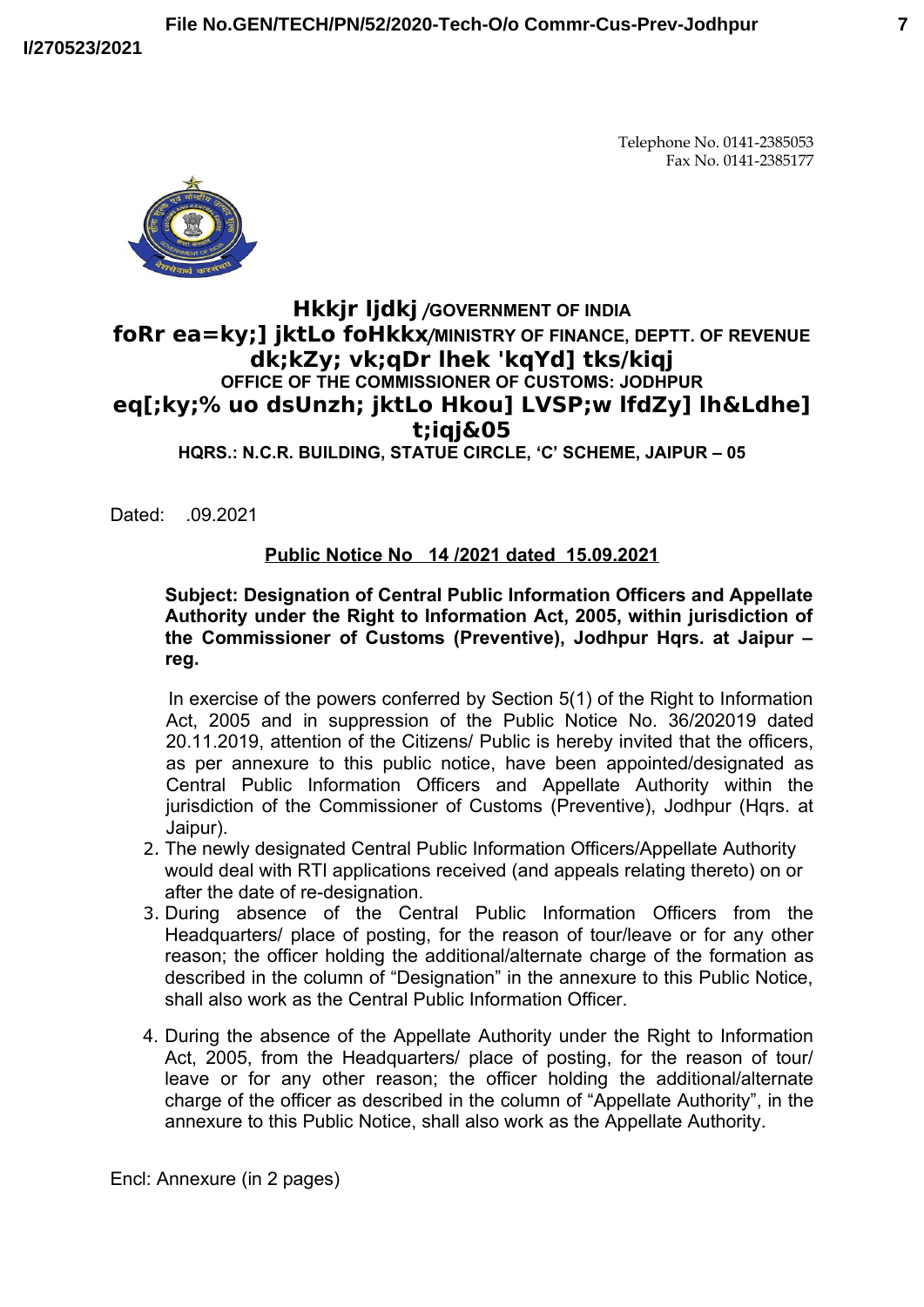Telephone No. 0141-2385053 Fax No. 0141-2385177



# **Hkkjr ljdkj /GOVERNMENT OF INDIA foRr ea=ky;] jktLo foHkkx/MINISTRY OF FINANCE, DEPTT. OF REVENUE dk;kZy; vk;qDr lhek 'kqYd] tks/kiqj OFFICE OF THE COMMISSIONER OF CUSTOMS: JODHPUR eq[;ky;% uo dsUnzh; jktLo Hkou] LVSP;w lfdZy] lh&Ldhe] t;iqj&05**

**HQRS.: N.C.R. BUILDING, STATUE CIRCLE, 'C' SCHEME, JAIPUR – 05**

Dated: 09 2021

### **Public Notice No 14 /2021 dated 15.09.2021**

#### **Subject: Designation of Central Public Information Officers and Appellate Authority under the Right to Information Act, 2005, within jurisdiction of** the Commissioner of Customs (Preventive), Jodhpur Hars, at Jaipur – **reg.**

In exercise of the powers conferred by Section 5(1) of the Right to Information Act, 2005 and in suppression of the Public Notice No. 36/202019 dated 20.11.2019, attention of the Citizens/ Public is hereby invited that the officers, as per annexure to this public notice, have been appointed/designated as Central Public Information Officers and Appellate Authority within the jurisdiction of the Commissioner of Customs (Preventive), Jodhpur (Hqrs. at Jaipur).

- 2. The newly designated Central Public Information Officers/Appellate Authority would deal with RTI applications received (and appeals relating thereto) on or after the date of re-designation.
- 3. During absence of the Central Public Information Officers from the Headquarters/ place of posting, for the reason of tour/leave or for any other reason; the officer holding the additional/alternate charge of the formation as described in the column of "Designation" in the annexure to this Public Notice, shall also work as the Central Public Information Officer.
- 4. During the absence of the Appellate Authority under the Right to Information Act, 2005, from the Headquarters/ place of posting, for the reason of tour/ leave or for any other reason; the officer holding the additional/alternate charge of the officer as described in the column of "Appellate Authority", in the annexure to this Public Notice, shall also work as the Appellate Authority.

Encl: Annexure (in 2 pages)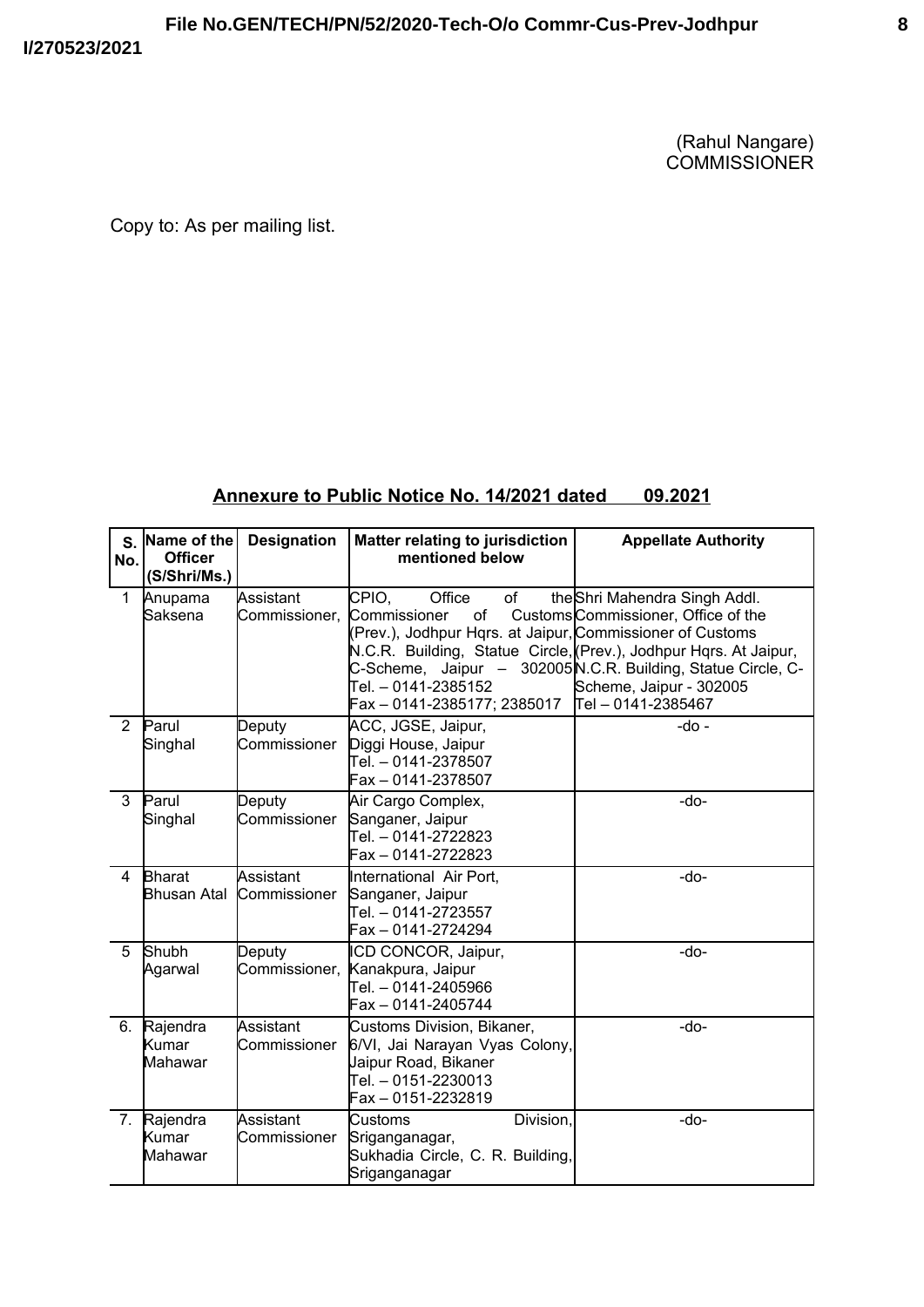#### (Rahul Nangare) COMMISSIONER

Copy to: As per mailing list.

## **Annexure to Public Notice No. 14/2021 dated 09.2021**

| S.<br>No. | Name of the<br><b>Officer</b><br>(S/Shri/Ms.) | <b>Designation</b>         | <b>Matter relating to jurisdiction</b><br>mentioned below                                                                                                                                                                           | <b>Appellate Authority</b>                                                                                                                                                            |
|-----------|-----------------------------------------------|----------------------------|-------------------------------------------------------------------------------------------------------------------------------------------------------------------------------------------------------------------------------------|---------------------------------------------------------------------------------------------------------------------------------------------------------------------------------------|
| 1         | Anupama<br>Saksena                            | Assistant<br>Commissioner, | CPIO.<br>of<br>Office<br>Commissioner<br>of<br>(Prev.), Jodhpur Hqrs. at Jaipur, Commissioner of Customs<br>N.C.R. Building, Statue Circle, (Prev.), Jodhpur Hqrs. At Jaipur,<br>Tel. – 0141-2385152<br>Fax - 0141-2385177; 2385017 | the Shri Mahendra Singh Addl.<br>Customs Commissioner, Office of the<br>C-Scheme, Jaipur - 302005 N.C.R. Building, Statue Circle, C-<br>Scheme, Jaipur - 302005<br>∏el – 0141-2385467 |
| 2         | Parul<br>Singhal                              | Deputy<br>Commissioner     | ACC, JGSE, Jaipur,<br>Diggi House, Jaipur<br>Tel. - 0141-2378507<br>Fax - 0141-2378507                                                                                                                                              | $-do -$                                                                                                                                                                               |
| 3         | Parul<br>Singhal                              | Deputy<br>Commissioner     | Air Cargo Complex,<br>Sanganer, Jaipur<br>Tel. - 0141-2722823<br>Fax - 0141-2722823                                                                                                                                                 | -do-                                                                                                                                                                                  |
| 4         | <b>Bharat</b><br><b>Bhusan Atal</b>           | Assistant<br>Commissioner  | International Air Port,<br>Sanganer, Jaipur<br>Tel. – 0141-2723557<br>Fax - 0141-2724294                                                                                                                                            | -do-                                                                                                                                                                                  |
| 5         | Shubh<br>Agarwal                              | Deputy<br>Commissioner,    | ICD CONCOR, Jaipur,<br>Kanakpura, Jaipur<br>Tel. – 0141-2405966<br>Fax - 0141-2405744                                                                                                                                               | -do-                                                                                                                                                                                  |
| 6.        | Rajendra<br>Kumar<br>Mahawar                  | Assistant<br>Commissioner  | Customs Division, Bikaner,<br>6/VI, Jai Narayan Vyas Colony,<br>Jaipur Road, Bikaner<br>Tel. – 0151-2230013<br>Fax - 0151-2232819                                                                                                   | -do-                                                                                                                                                                                  |
| 7.        | Rajendra<br>Kumar<br>Mahawar                  | Assistant<br>Commissioner  | Division,<br>Customs<br>Sriganganagar,<br>Sukhadia Circle, C. R. Building,<br>Sriganganagar                                                                                                                                         | -do-                                                                                                                                                                                  |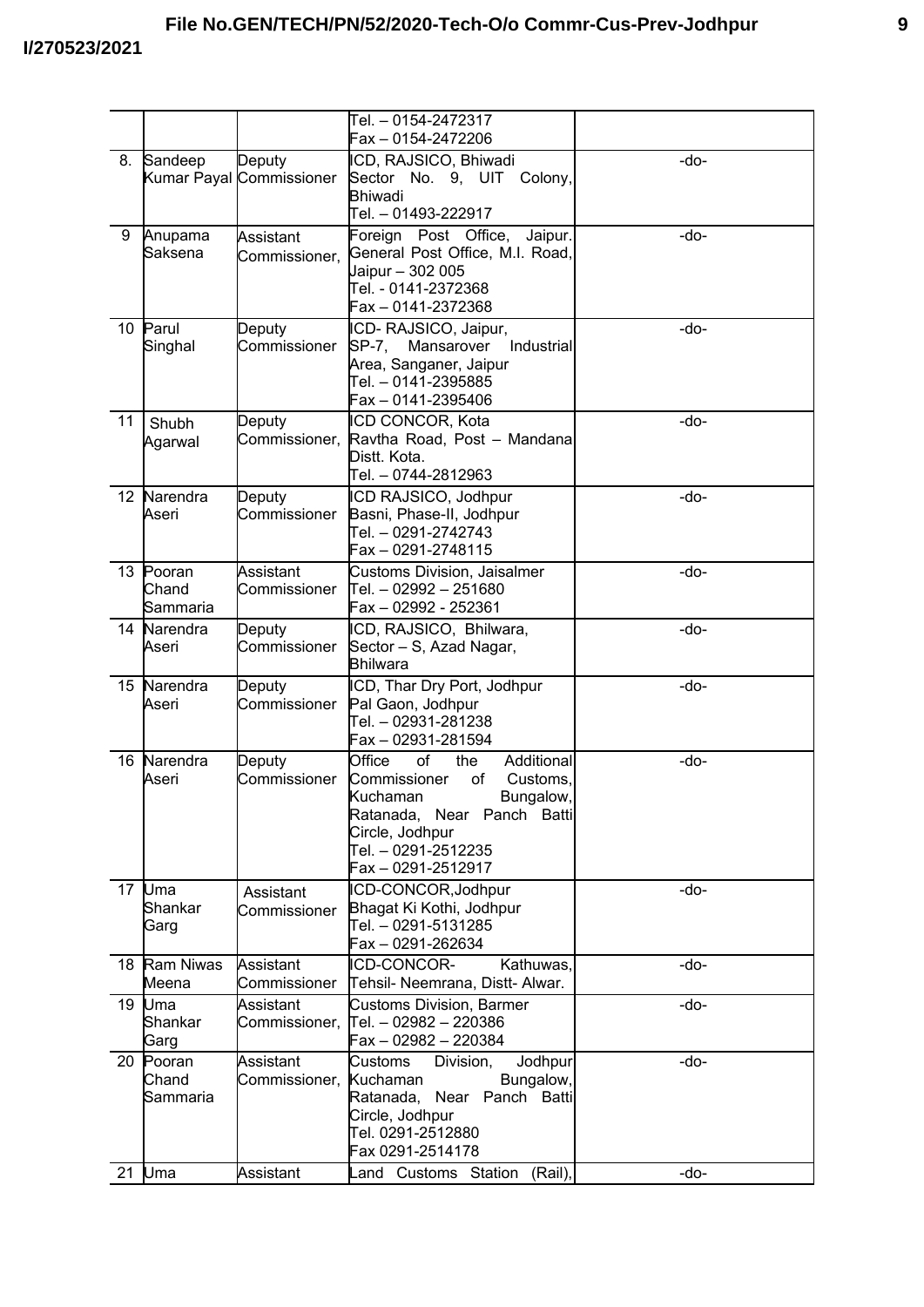|    |                                |                                     | $\overline{Tel.} - 0154 - 2472317$<br>Fax – 0154-2472206                                                                                                                                           |      |
|----|--------------------------------|-------------------------------------|----------------------------------------------------------------------------------------------------------------------------------------------------------------------------------------------------|------|
|    | 8. Sandeep                     | Deputy<br>Kumar Payal Commissioner  | ICD, RAJSICO, Bhiwadi<br>Sector No. 9, UIT Colony,<br>Bhiwadi<br>Tel. - 01493-222917                                                                                                               | -do- |
| 9  | Anupama<br>Saksena             | Assistant<br>Commissioner,          | Jaipur.<br>Foreign Post Office,<br>General Post Office, M.I. Road,<br>Jaipur - 302 005<br>Tel. - 0141-2372368<br>Fax - 0141-2372368                                                                | -do- |
|    | 10 Parul<br>Singhal            | Deputy<br>Commissioner              | ICD-RAJSICO, Jaipur,<br>Industrial<br>SP-7,<br>Mansarover<br>Area, Sanganer, Jaipur<br>Tel. – 0141-2395885<br>Fax - 0141-2395406                                                                   | -do- |
| 11 | Shubh<br>Agarwal               | Deputy<br>Commissioner,             | ICD CONCOR, Kota<br>Ravtha Road, Post - Mandana<br>Distt. Kota.<br>Tel. – 0744-2812963                                                                                                             | -do- |
|    | 12 Narendra<br>Aseri           | Deputy<br>Commissioner              | ICD RAJSICO, Jodhpur<br>Basni, Phase-II, Jodhpur<br>Tel. – 0291-2742743<br>Fax - 0291-2748115                                                                                                      | -do- |
|    | 13 Pooran<br>Chand<br>Sammaria | Assistant<br>Commissioner           | Customs Division, Jaisalmer<br>lTel. – 02992 – 251680<br>Fax - 02992 - 252361                                                                                                                      | -do- |
|    | 14 Narendra<br>Aseri           | Deputy<br>Commissioner              | ICD, RAJSICO, Bhilwara,<br>Sector - S, Azad Nagar,<br>Bhilwara                                                                                                                                     | -do- |
|    | 15 Narendra<br>Aseri           | Deputy<br>Commissioner              | ICD, Thar Dry Port, Jodhpur<br>Pal Gaon, Jodhpur<br>Tel. - 02931-281238<br>Fax - 02931-281594                                                                                                      | -do- |
|    | 16 Narendra<br>Aseri           | Deputy<br>Commissioner              | Office<br>of<br>Additional<br>the<br>Commissioner<br>of<br>Customs.<br>Bungalow.<br><b>K</b> uchaman<br>Ratanada, Near Panch Batti<br>Circle, Jodhpur<br>Tel. - 0291-2512235<br>Fax - 0291-2512917 | -do- |
| 17 | Uma<br>Shankar<br>Garg         | Assistant<br>Commissioner           | ICD-CONCOR, Jodhpur<br>Bhagat Ki Kothi, Jodhpur<br>Tel. – 0291-5131285<br>Fax - 0291-262634                                                                                                        | -do- |
|    | 18 Ram Niwas<br>Meena          | Assistant<br>Commissioner           | ICD-CONCOR-<br>Kathuwas,<br>Tehsil- Neemrana, Distt- Alwar.                                                                                                                                        | -do- |
|    | 19 Uma<br>Shankar<br>Garg      | Assistant<br>Commissioner,          | Customs Division, Barmer<br>Tel. – 02982 – 220386<br>Fax - 02982 - 220384                                                                                                                          | -do- |
| 20 | Pooran<br>Chand<br>Sammaria    | Assistant<br>Commissioner, Kuchaman | Jodhpur<br>Division,<br>Customs<br>Bungalow,<br>Near Panch Batti<br>Ratanada,<br>Circle, Jodhpur<br>Tel. 0291-2512880<br>Fax 0291-2514178                                                          | -do- |
|    | 21 $Uma$                       | Assistant                           | Land Customs Station (Rail),                                                                                                                                                                       | -do- |